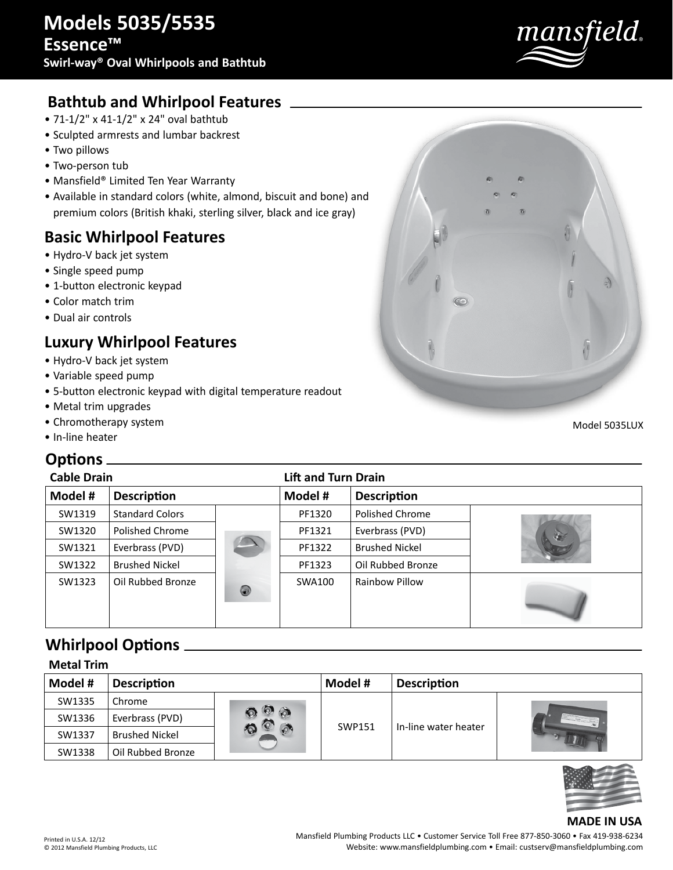

# **Bathtub and Whirlpool Features**

- 71-1/2" x 41-1/2" x 24" oval bathtub
- Sculpted armrests and lumbar backrest
- Two pillows
- Two-person tub
- Mansfield® Limited Ten Year Warranty
- Available in standard colors (white, almond, biscuit and bone) and premium colors (British khaki, sterling silver, black and ice gray)

## **Basic Whirlpool Features**

- Hydro-V back jet system
- Single speed pump
- 1-button electronic keypad
- Color match trim
- Dual air controls

# **Luxury Whirlpool Features**

- Hydro-V back jet system
- Variable speed pump
- 5-button electronic keypad with digital temperature readout
- Metal trim upgrades
- Chromotherapy system
- In-line heater

#### **Options**

| UNUUIJ             |                        |                |                            |                       |  |  |
|--------------------|------------------------|----------------|----------------------------|-----------------------|--|--|
| <b>Cable Drain</b> |                        |                | <b>Lift and Turn Drain</b> |                       |  |  |
| Model #            | <b>Description</b>     |                | Model #                    | <b>Description</b>    |  |  |
| SW1319             | <b>Standard Colors</b> |                | PF1320                     | Polished Chrome       |  |  |
| SW1320             | Polished Chrome        |                | PF1321                     | Everbrass (PVD)       |  |  |
| SW1321             | Everbrass (PVD)        |                | PF1322                     | <b>Brushed Nickel</b> |  |  |
| SW1322             | <b>Brushed Nickel</b>  |                | PF1323                     | Oil Rubbed Bronze     |  |  |
| SW1323             | Oil Rubbed Bronze      | $\circledcirc$ | SWA100                     | <b>Rainbow Pillow</b> |  |  |

## **Whirlpool Options**

| <b>Metal Trim</b> |                       |                 |         |                      |  |  |
|-------------------|-----------------------|-----------------|---------|----------------------|--|--|
| Model #           | <b>Description</b>    |                 | Model # | <b>Description</b>   |  |  |
| SW1335            | Chrome                |                 |         |                      |  |  |
| SW1336            | Everbrass (PVD)       | $\circ$ $\circ$ | SWP151  | In-line water heater |  |  |
| SW1337            | <b>Brushed Nickel</b> |                 |         |                      |  |  |
| SW1338            | Oil Rubbed Bronze     |                 |         |                      |  |  |



#### **MADE IN USA**

Printed in U.S.A. 12/12 © 2012 Mansfield Plumbing Products, LLC Mansfield Plumbing Products LLC • Customer Service Toll Free 877-850-3060 • Fax 419-938-6234 Website: www.mansfieldplumbing.com • Email: custserv@mansfieldplumbing.com

Model 5035LUX